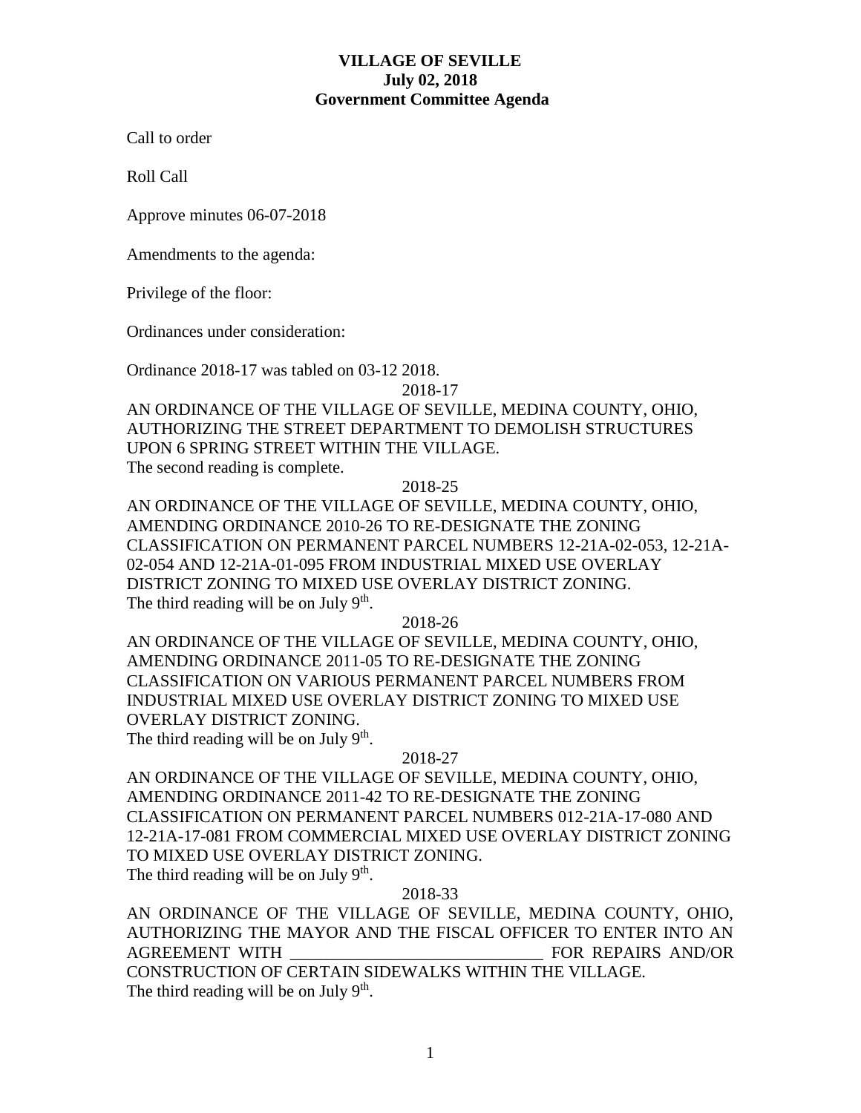## **VILLAGE OF SEVILLE July 02, 2018 Government Committee Agenda**

Call to order

Roll Call

Approve minutes 06-07-2018

Amendments to the agenda:

Privilege of the floor:

Ordinances under consideration:

Ordinance 2018-17 was tabled on 03-12 2018.

2018-17

AN ORDINANCE OF THE VILLAGE OF SEVILLE, MEDINA COUNTY, OHIO, AUTHORIZING THE STREET DEPARTMENT TO DEMOLISH STRUCTURES UPON 6 SPRING STREET WITHIN THE VILLAGE.

The second reading is complete.

2018-25

AN ORDINANCE OF THE VILLAGE OF SEVILLE, MEDINA COUNTY, OHIO, AMENDING ORDINANCE 2010-26 TO RE-DESIGNATE THE ZONING CLASSIFICATION ON PERMANENT PARCEL NUMBERS 12-21A-02-053, 12-21A-02-054 AND 12-21A-01-095 FROM INDUSTRIAL MIXED USE OVERLAY DISTRICT ZONING TO MIXED USE OVERLAY DISTRICT ZONING. The third reading will be on July  $9<sup>th</sup>$ .

2018-26

AN ORDINANCE OF THE VILLAGE OF SEVILLE, MEDINA COUNTY, OHIO, AMENDING ORDINANCE 2011-05 TO RE-DESIGNATE THE ZONING CLASSIFICATION ON VARIOUS PERMANENT PARCEL NUMBERS FROM INDUSTRIAL MIXED USE OVERLAY DISTRICT ZONING TO MIXED USE OVERLAY DISTRICT ZONING. The third reading will be on July  $9<sup>th</sup>$ .

2018-27

AN ORDINANCE OF THE VILLAGE OF SEVILLE, MEDINA COUNTY, OHIO, AMENDING ORDINANCE 2011-42 TO RE-DESIGNATE THE ZONING CLASSIFICATION ON PERMANENT PARCEL NUMBERS 012-21A-17-080 AND 12-21A-17-081 FROM COMMERCIAL MIXED USE OVERLAY DISTRICT ZONING TO MIXED USE OVERLAY DISTRICT ZONING. The third reading will be on July  $9<sup>th</sup>$ .

## 2018-33

AN ORDINANCE OF THE VILLAGE OF SEVILLE, MEDINA COUNTY, OHIO, AUTHORIZING THE MAYOR AND THE FISCAL OFFICER TO ENTER INTO AN AGREEMENT WITH **EXECUTE:** FOR REPAIRS AND/OR CONSTRUCTION OF CERTAIN SIDEWALKS WITHIN THE VILLAGE. The third reading will be on July  $9<sup>th</sup>$ .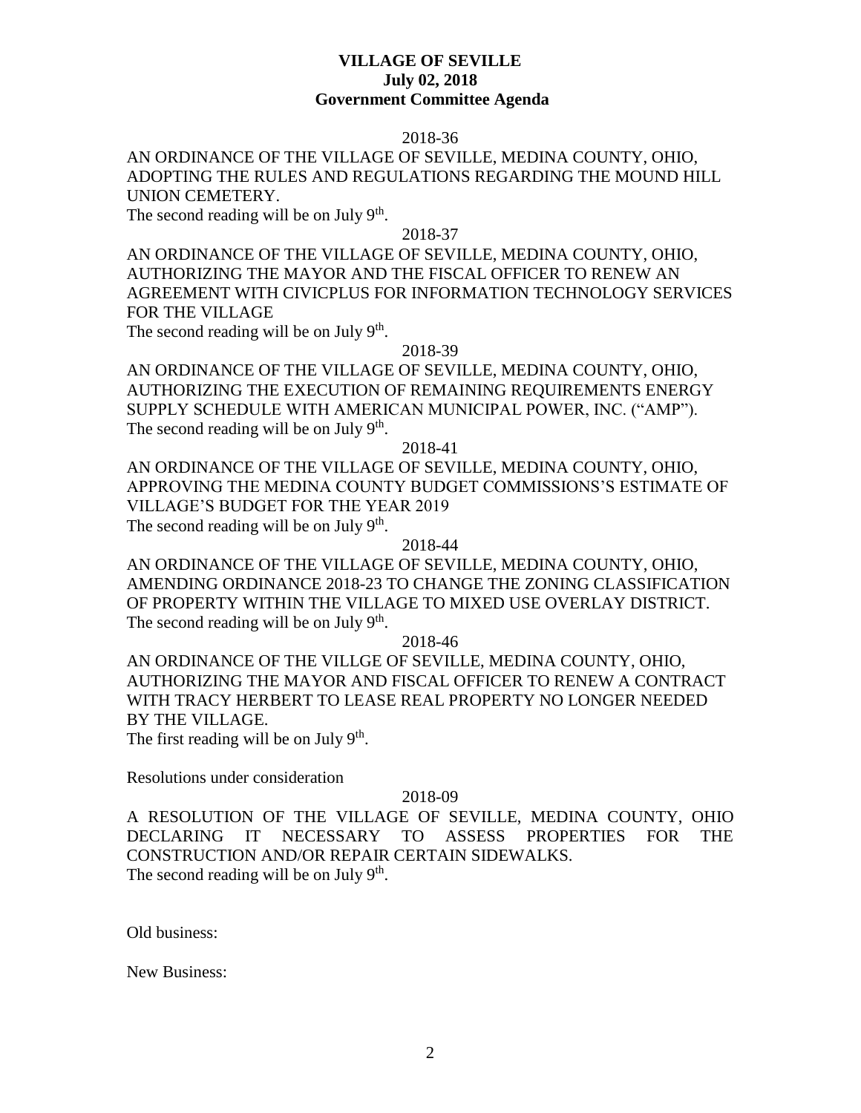## **VILLAGE OF SEVILLE July 02, 2018 Government Committee Agenda**

### 2018-36

# AN ORDINANCE OF THE VILLAGE OF SEVILLE, MEDINA COUNTY, OHIO, ADOPTING THE RULES AND REGULATIONS REGARDING THE MOUND HILL UNION CEMETERY.

The second reading will be on July  $9<sup>th</sup>$ .

### 2018-37

AN ORDINANCE OF THE VILLAGE OF SEVILLE, MEDINA COUNTY, OHIO, AUTHORIZING THE MAYOR AND THE FISCAL OFFICER TO RENEW AN AGREEMENT WITH CIVICPLUS FOR INFORMATION TECHNOLOGY SERVICES FOR THE VILLAGE

The second reading will be on July  $9<sup>th</sup>$ .

### 2018-39

AN ORDINANCE OF THE VILLAGE OF SEVILLE, MEDINA COUNTY, OHIO, AUTHORIZING THE EXECUTION OF REMAINING REQUIREMENTS ENERGY SUPPLY SCHEDULE WITH AMERICAN MUNICIPAL POWER, INC. ("AMP"). The second reading will be on July  $9<sup>th</sup>$ .

## 2018-41

AN ORDINANCE OF THE VILLAGE OF SEVILLE, MEDINA COUNTY, OHIO, APPROVING THE MEDINA COUNTY BUDGET COMMISSIONS'S ESTIMATE OF VILLAGE'S BUDGET FOR THE YEAR 2019 The second reading will be on July  $9<sup>th</sup>$ .

#### 2018-44

AN ORDINANCE OF THE VILLAGE OF SEVILLE, MEDINA COUNTY, OHIO, AMENDING ORDINANCE 2018-23 TO CHANGE THE ZONING CLASSIFICATION OF PROPERTY WITHIN THE VILLAGE TO MIXED USE OVERLAY DISTRICT. The second reading will be on July  $9<sup>th</sup>$ .

2018-46

AN ORDINANCE OF THE VILLGE OF SEVILLE, MEDINA COUNTY, OHIO, AUTHORIZING THE MAYOR AND FISCAL OFFICER TO RENEW A CONTRACT WITH TRACY HERBERT TO LEASE REAL PROPERTY NO LONGER NEEDED BY THE VILLAGE. The first reading will be on July  $9<sup>th</sup>$ .

Resolutions under consideration

#### 2018-09

A RESOLUTION OF THE VILLAGE OF SEVILLE, MEDINA COUNTY, OHIO DECLARING IT NECESSARY TO ASSESS PROPERTIES FOR THE CONSTRUCTION AND/OR REPAIR CERTAIN SIDEWALKS. The second reading will be on July  $9<sup>th</sup>$ .

Old business:

New Business: